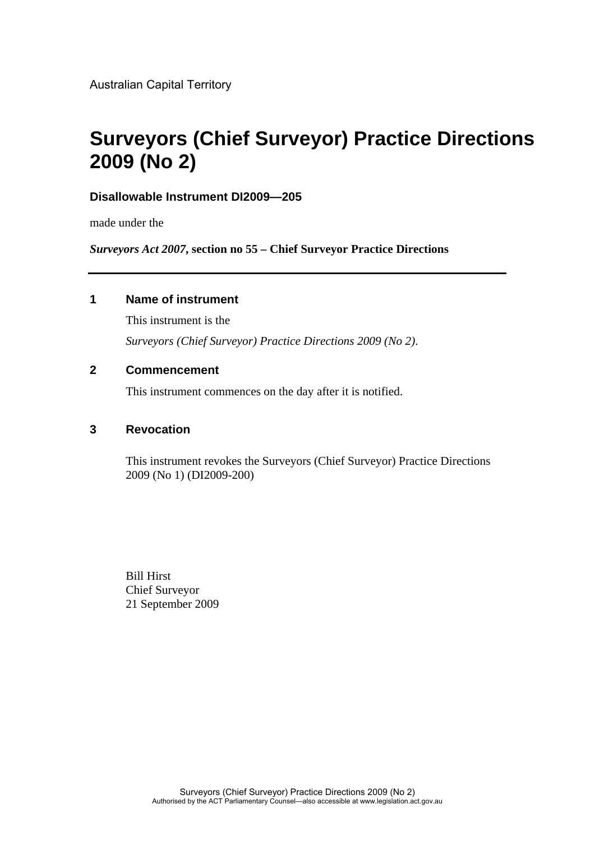Australian Capital Territory

# **Surveyors (Chief Surveyor) Practice Directions 2009 (No 2)**

## **Disallowable Instrument DI2009—205**

made under the

*Surveyors Act 2007***, section no 55 – Chief Surveyor Practice Directions**

### **1 Name of instrument**

This instrument is the *Surveyors (Chief Surveyor) Practice Directions 2009 (No 2)*.

# **2 Commencement**

This instrument commences on the day after it is notified.

### **3 Revocation**

This instrument revokes the Surveyors (Chief Surveyor) Practice Directions 2009 (No 1) (DI2009-200)

Bill Hirst Chief Surveyor 21 September 2009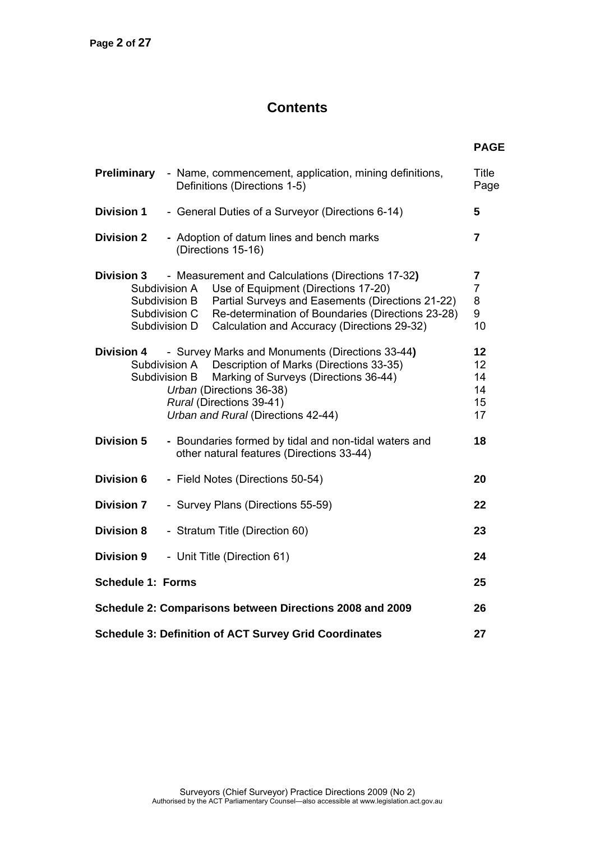# **Contents**

|                          | Preliminary - Name, commencement, application, mining definitions,<br>Definitions (Directions 1-5)                                                                                                                                                                                                                                     | <b>Title</b><br>Page                                      |
|--------------------------|----------------------------------------------------------------------------------------------------------------------------------------------------------------------------------------------------------------------------------------------------------------------------------------------------------------------------------------|-----------------------------------------------------------|
| <b>Division 1</b>        | - General Duties of a Surveyor (Directions 6-14)                                                                                                                                                                                                                                                                                       | 5                                                         |
| <b>Division 2</b>        | - Adoption of datum lines and bench marks<br>(Directions 15-16)                                                                                                                                                                                                                                                                        | $\overline{7}$                                            |
|                          | <b>Division 3</b> - Measurement and Calculations (Directions 17-32)<br>Use of Equipment (Directions 17-20)<br>Subdivision A<br>Partial Surveys and Easements (Directions 21-22)<br>Subdivision B<br>Re-determination of Boundaries (Directions 23-28)<br>Subdivision C<br>Calculation and Accuracy (Directions 29-32)<br>Subdivision D | $\overline{\mathbf{7}}$<br>$\overline{7}$<br>8<br>9<br>10 |
| <b>Division 4</b>        | - Survey Marks and Monuments (Directions 33-44)<br>Subdivision A Description of Marks (Directions 33-35)<br>Subdivision B<br>Marking of Surveys (Directions 36-44)<br>Urban (Directions 36-38)<br>Rural (Directions 39-41)<br>Urban and Rural (Directions 42-44)                                                                       | 12<br>12<br>14<br>14<br>15<br>17                          |
| <b>Division 5</b>        | - Boundaries formed by tidal and non-tidal waters and<br>other natural features (Directions 33-44)                                                                                                                                                                                                                                     | 18                                                        |
| <b>Division 6</b>        | - Field Notes (Directions 50-54)                                                                                                                                                                                                                                                                                                       | 20                                                        |
| <b>Division 7</b>        | - Survey Plans (Directions 55-59)                                                                                                                                                                                                                                                                                                      | 22                                                        |
| <b>Division 8</b>        | - Stratum Title (Direction 60)                                                                                                                                                                                                                                                                                                         | 23                                                        |
| <b>Division 9</b>        | - Unit Title (Direction 61)                                                                                                                                                                                                                                                                                                            | 24                                                        |
| <b>Schedule 1: Forms</b> |                                                                                                                                                                                                                                                                                                                                        | 25                                                        |
|                          | Schedule 2: Comparisons between Directions 2008 and 2009                                                                                                                                                                                                                                                                               | 26                                                        |
|                          | <b>Schedule 3: Definition of ACT Survey Grid Coordinates</b>                                                                                                                                                                                                                                                                           | 27                                                        |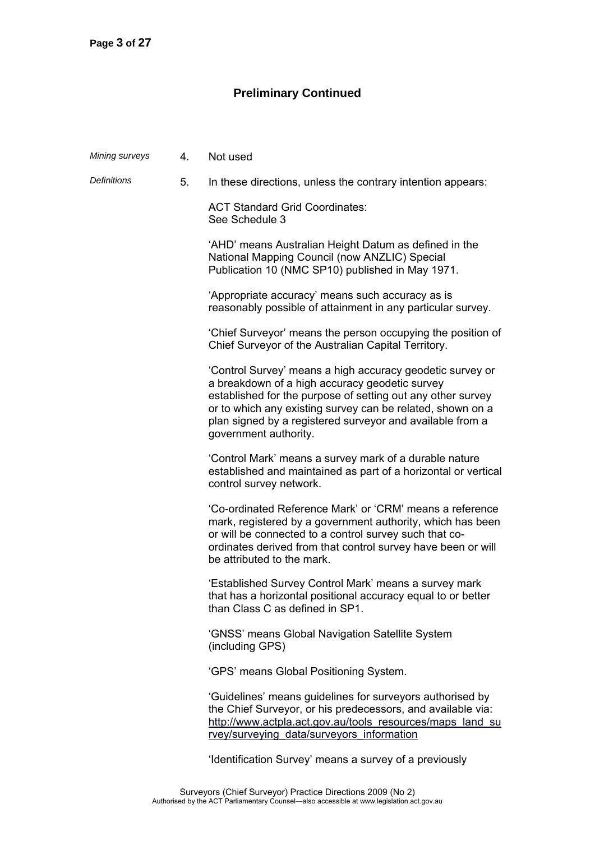# **Preliminary Continued**

| Mining surveys     | 4. | Not used                                                                                                                                                                                                                                                                                                                       |
|--------------------|----|--------------------------------------------------------------------------------------------------------------------------------------------------------------------------------------------------------------------------------------------------------------------------------------------------------------------------------|
| <b>Definitions</b> | 5. | In these directions, unless the contrary intention appears:                                                                                                                                                                                                                                                                    |
|                    |    | <b>ACT Standard Grid Coordinates:</b><br>See Schedule 3                                                                                                                                                                                                                                                                        |
|                    |    | 'AHD' means Australian Height Datum as defined in the<br>National Mapping Council (now ANZLIC) Special<br>Publication 10 (NMC SP10) published in May 1971.                                                                                                                                                                     |
|                    |    | 'Appropriate accuracy' means such accuracy as is<br>reasonably possible of attainment in any particular survey.                                                                                                                                                                                                                |
|                    |    | 'Chief Surveyor' means the person occupying the position of<br>Chief Surveyor of the Australian Capital Territory.                                                                                                                                                                                                             |
|                    |    | 'Control Survey' means a high accuracy geodetic survey or<br>a breakdown of a high accuracy geodetic survey<br>established for the purpose of setting out any other survey<br>or to which any existing survey can be related, shown on a<br>plan signed by a registered surveyor and available from a<br>government authority. |
|                    |    | 'Control Mark' means a survey mark of a durable nature<br>established and maintained as part of a horizontal or vertical<br>control survey network.                                                                                                                                                                            |
|                    |    | 'Co-ordinated Reference Mark' or 'CRM' means a reference<br>mark, registered by a government authority, which has been<br>or will be connected to a control survey such that co-<br>ordinates derived from that control survey have been or will<br>be attributed to the mark.                                                 |
|                    |    | 'Established Survey Control Mark' means a survey mark<br>that has a horizontal positional accuracy equal to or better<br>than Class C as defined in SP1.                                                                                                                                                                       |
|                    |    | 'GNSS' means Global Navigation Satellite System<br>(including GPS)                                                                                                                                                                                                                                                             |
|                    |    | 'GPS' means Global Positioning System.                                                                                                                                                                                                                                                                                         |
|                    |    | 'Guidelines' means guidelines for surveyors authorised by<br>the Chief Surveyor, or his predecessors, and available via:<br>http://www.actpla.act.gov.au/tools_resources/maps_land_su<br>rvey/surveying data/surveyors information                                                                                             |
|                    |    | 'Identification Survey' means a survey of a previously                                                                                                                                                                                                                                                                         |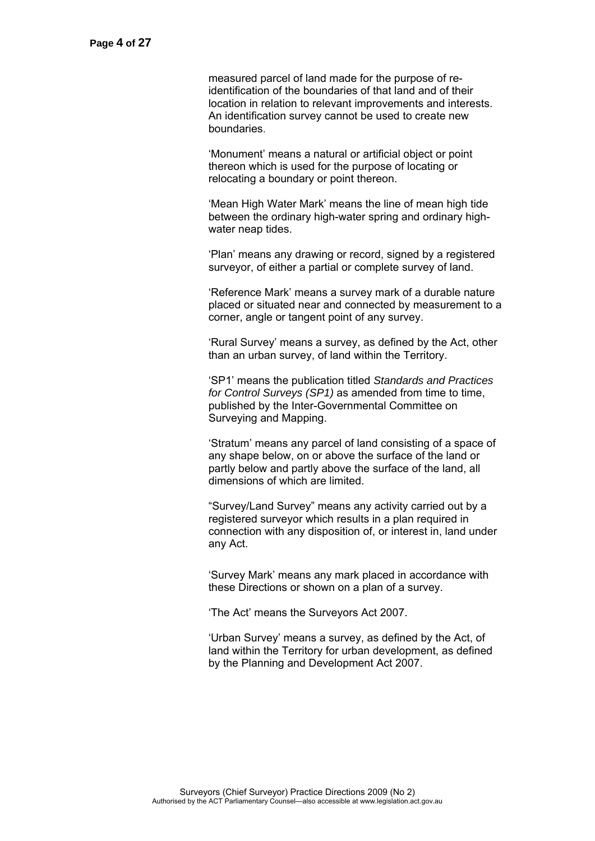measured parcel of land made for the purpose of reidentification of the boundaries of that land and of their location in relation to relevant improvements and interests. An identification survey cannot be used to create new boundaries.

 'Monument' means a natural or artificial object or point thereon which is used for the purpose of locating or relocating a boundary or point thereon.

 'Mean High Water Mark' means the line of mean high tide between the ordinary high-water spring and ordinary highwater neap tides.

 'Plan' means any drawing or record, signed by a registered surveyor, of either a partial or complete survey of land.

 'Reference Mark' means a survey mark of a durable nature placed or situated near and connected by measurement to a corner, angle or tangent point of any survey.

 'Rural Survey' means a survey, as defined by the Act, other than an urban survey, of land within the Territory.

 'SP1' means the publication titled *Standards and Practices for Control Surveys (SP1)* as amended from time to time, published by the Inter-Governmental Committee on Surveying and Mapping.

 'Stratum' means any parcel of land consisting of a space of any shape below, on or above the surface of the land or partly below and partly above the surface of the land, all dimensions of which are limited.

 "Survey/Land Survey" means any activity carried out by a registered surveyor which results in a plan required in connection with any disposition of, or interest in, land under any Act.

 'Survey Mark' means any mark placed in accordance with these Directions or shown on a plan of a survey.

'The Act' means the Surveyors Act 2007.

 'Urban Survey' means a survey, as defined by the Act, of land within the Territory for urban development, as defined by the Planning and Development Act 2007.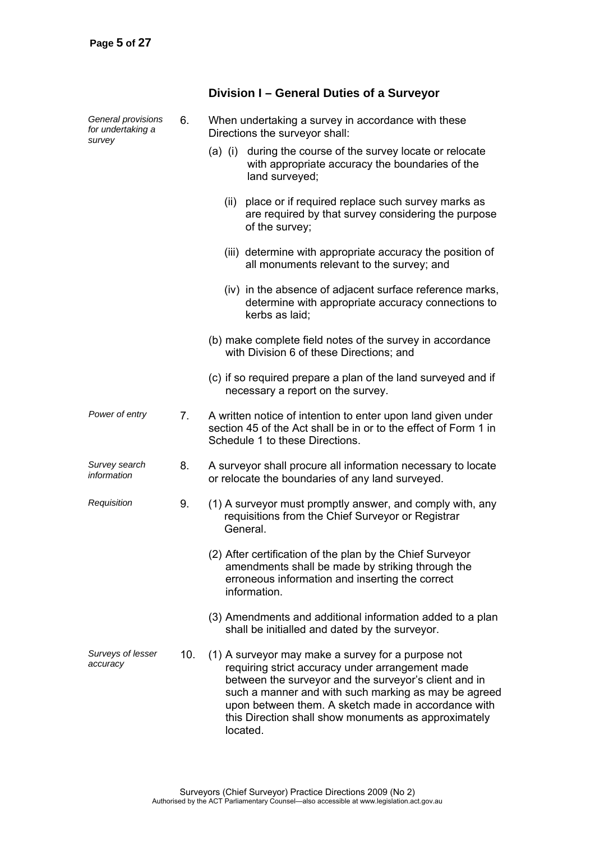| General provisions<br>for undertaking a<br>survey | 6.  | When undertaking a survey in accordance with these<br>Directions the surveyor shall:                                                                                                                                                                                                                                                               |
|---------------------------------------------------|-----|----------------------------------------------------------------------------------------------------------------------------------------------------------------------------------------------------------------------------------------------------------------------------------------------------------------------------------------------------|
|                                                   |     | during the course of the survey locate or relocate<br>$(a)$ (i)<br>with appropriate accuracy the boundaries of the<br>land surveyed;                                                                                                                                                                                                               |
|                                                   |     | place or if required replace such survey marks as<br>(ii)<br>are required by that survey considering the purpose<br>of the survey;                                                                                                                                                                                                                 |
|                                                   |     | (iii) determine with appropriate accuracy the position of<br>all monuments relevant to the survey; and                                                                                                                                                                                                                                             |
|                                                   |     | (iv) in the absence of adjacent surface reference marks,<br>determine with appropriate accuracy connections to<br>kerbs as laid:                                                                                                                                                                                                                   |
|                                                   |     | (b) make complete field notes of the survey in accordance<br>with Division 6 of these Directions; and                                                                                                                                                                                                                                              |
|                                                   |     | (c) if so required prepare a plan of the land surveyed and if<br>necessary a report on the survey.                                                                                                                                                                                                                                                 |
| Power of entry                                    | 7.  | A written notice of intention to enter upon land given under<br>section 45 of the Act shall be in or to the effect of Form 1 in<br>Schedule 1 to these Directions.                                                                                                                                                                                 |
| Survey search<br>information                      | 8.  | A surveyor shall procure all information necessary to locate<br>or relocate the boundaries of any land surveyed.                                                                                                                                                                                                                                   |
| Requisition                                       | 9.  | (1) A surveyor must promptly answer, and comply with, any<br>requisitions from the Chief Surveyor or Registrar<br>General.                                                                                                                                                                                                                         |
|                                                   |     | (2) After certification of the plan by the Chief Surveyor<br>amendments shall be made by striking through the<br>erroneous information and inserting the correct<br>information.                                                                                                                                                                   |
|                                                   |     | (3) Amendments and additional information added to a plan<br>shall be initialled and dated by the surveyor.                                                                                                                                                                                                                                        |
| Surveys of lesser<br>accuracy                     | 10. | (1) A surveyor may make a survey for a purpose not<br>requiring strict accuracy under arrangement made<br>between the surveyor and the surveyor's client and in<br>such a manner and with such marking as may be agreed<br>upon between them. A sketch made in accordance with<br>this Direction shall show monuments as approximately<br>located. |

# **Division I – General Duties of a Surveyor**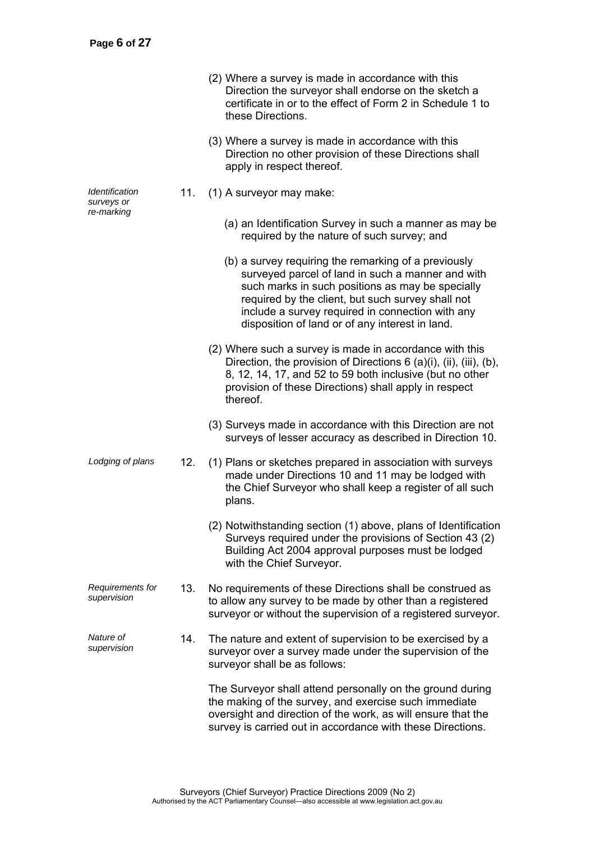|                                                   |     | (2) Where a survey is made in accordance with this<br>Direction the surveyor shall endorse on the sketch a<br>certificate in or to the effect of Form 2 in Schedule 1 to<br>these Directions.                                                                                                                             |
|---------------------------------------------------|-----|---------------------------------------------------------------------------------------------------------------------------------------------------------------------------------------------------------------------------------------------------------------------------------------------------------------------------|
|                                                   |     | (3) Where a survey is made in accordance with this<br>Direction no other provision of these Directions shall<br>apply in respect thereof.                                                                                                                                                                                 |
| <i><u><b>Identification</b></u></i><br>surveys or | 11. | (1) A surveyor may make:                                                                                                                                                                                                                                                                                                  |
| re-marking                                        |     | (a) an Identification Survey in such a manner as may be<br>required by the nature of such survey; and                                                                                                                                                                                                                     |
|                                                   |     | (b) a survey requiring the remarking of a previously<br>surveyed parcel of land in such a manner and with<br>such marks in such positions as may be specially<br>required by the client, but such survey shall not<br>include a survey required in connection with any<br>disposition of land or of any interest in land. |
|                                                   |     | (2) Where such a survey is made in accordance with this<br>Direction, the provision of Directions $6$ (a)(i), (ii), (iii), (b),<br>8, 12, 14, 17, and 52 to 59 both inclusive (but no other<br>provision of these Directions) shall apply in respect<br>thereof.                                                          |
|                                                   |     | (3) Surveys made in accordance with this Direction are not<br>surveys of lesser accuracy as described in Direction 10.                                                                                                                                                                                                    |
| Lodging of plans                                  | 12. | (1) Plans or sketches prepared in association with surveys<br>made under Directions 10 and 11 may be lodged with<br>the Chief Surveyor who shall keep a register of all such<br>plans.                                                                                                                                    |
|                                                   |     | (2) Notwithstanding section (1) above, plans of Identification<br>Surveys required under the provisions of Section 43 (2)<br>Building Act 2004 approval purposes must be lodged<br>with the Chief Surveyor.                                                                                                               |
| Requirements for<br>supervision                   | 13. | No requirements of these Directions shall be construed as<br>to allow any survey to be made by other than a registered<br>surveyor or without the supervision of a registered surveyor.                                                                                                                                   |
| Nature of<br>supervision                          | 14. | The nature and extent of supervision to be exercised by a<br>surveyor over a survey made under the supervision of the<br>surveyor shall be as follows:                                                                                                                                                                    |
|                                                   |     | The Surveyor shall attend personally on the ground during<br>the making of the survey, and exercise such immediate<br>oversight and direction of the work, as will ensure that the<br>survey is carried out in accordance with these Directions.                                                                          |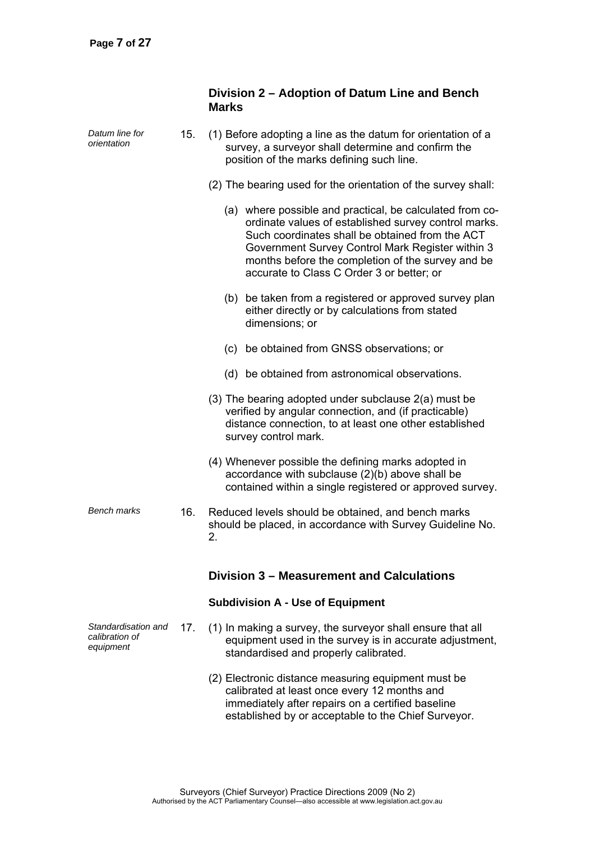|                                                    |     | Division 2 – Adoption of Datum Line and Bench<br><b>Marks</b>                                                                                                                                                                                                                                                             |
|----------------------------------------------------|-----|---------------------------------------------------------------------------------------------------------------------------------------------------------------------------------------------------------------------------------------------------------------------------------------------------------------------------|
| Datum line for<br>orientation                      | 15. | (1) Before adopting a line as the datum for orientation of a<br>survey, a surveyor shall determine and confirm the<br>position of the marks defining such line.                                                                                                                                                           |
|                                                    |     | (2) The bearing used for the orientation of the survey shall:                                                                                                                                                                                                                                                             |
|                                                    |     | (a) where possible and practical, be calculated from co-<br>ordinate values of established survey control marks.<br>Such coordinates shall be obtained from the ACT<br>Government Survey Control Mark Register within 3<br>months before the completion of the survey and be<br>accurate to Class C Order 3 or better; or |
|                                                    |     | (b) be taken from a registered or approved survey plan<br>either directly or by calculations from stated<br>dimensions; or                                                                                                                                                                                                |
|                                                    |     | be obtained from GNSS observations; or<br>(c)                                                                                                                                                                                                                                                                             |
|                                                    |     | (d) be obtained from astronomical observations.                                                                                                                                                                                                                                                                           |
|                                                    |     | (3) The bearing adopted under subclause 2(a) must be<br>verified by angular connection, and (if practicable)<br>distance connection, to at least one other established<br>survey control mark.                                                                                                                            |
|                                                    |     | (4) Whenever possible the defining marks adopted in<br>accordance with subclause (2)(b) above shall be<br>contained within a single registered or approved survey.                                                                                                                                                        |
| <b>Bench marks</b>                                 | 16. | Reduced levels should be obtained, and bench marks<br>should be placed, in accordance with Survey Guideline No.<br>2.                                                                                                                                                                                                     |
|                                                    |     | Division 3 - Measurement and Calculations                                                                                                                                                                                                                                                                                 |
|                                                    |     | <b>Subdivision A - Use of Equipment</b>                                                                                                                                                                                                                                                                                   |
| Standardisation and<br>calibration of<br>equipment | 17. | (1) In making a survey, the surveyor shall ensure that all<br>equipment used in the survey is in accurate adjustment,<br>standardised and properly calibrated.                                                                                                                                                            |
|                                                    |     | (2) Electronic distance measuring equipment must be<br>calibrated at least once every 12 months and<br>immediately after repairs on a certified baseline<br>established by or acceptable to the Chief Surveyor.                                                                                                           |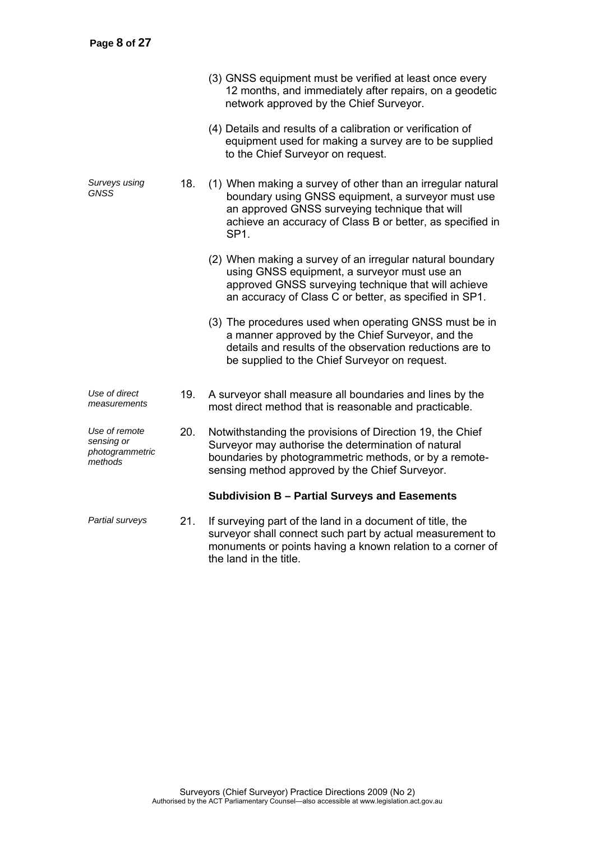|                                                           |     | (3) GNSS equipment must be verified at least once every<br>12 months, and immediately after repairs, on a geodetic<br>network approved by the Chief Surveyor.                                                                                        |
|-----------------------------------------------------------|-----|------------------------------------------------------------------------------------------------------------------------------------------------------------------------------------------------------------------------------------------------------|
|                                                           |     | (4) Details and results of a calibration or verification of<br>equipment used for making a survey are to be supplied<br>to the Chief Surveyor on request.                                                                                            |
| Surveys using<br>GNSS                                     | 18. | (1) When making a survey of other than an irregular natural<br>boundary using GNSS equipment, a surveyor must use<br>an approved GNSS surveying technique that will<br>achieve an accuracy of Class B or better, as specified in<br>SP <sub>1.</sub> |
|                                                           |     | (2) When making a survey of an irregular natural boundary<br>using GNSS equipment, a surveyor must use an<br>approved GNSS surveying technique that will achieve<br>an accuracy of Class C or better, as specified in SP1.                           |
|                                                           |     | (3) The procedures used when operating GNSS must be in<br>a manner approved by the Chief Surveyor, and the<br>details and results of the observation reductions are to<br>be supplied to the Chief Surveyor on request.                              |
| Use of direct<br>measurements                             | 19. | A surveyor shall measure all boundaries and lines by the<br>most direct method that is reasonable and practicable.                                                                                                                                   |
| Use of remote<br>sensing or<br>photogrammetric<br>methods | 20. | Notwithstanding the provisions of Direction 19, the Chief<br>Surveyor may authorise the determination of natural<br>boundaries by photogrammetric methods, or by a remote-<br>sensing method approved by the Chief Surveyor.                         |
|                                                           |     | Subdivision B - Partial Surveys and Easements                                                                                                                                                                                                        |
| Partial surveys                                           | 21. | If surveying part of the land in a document of title, the<br>surveyor shall connect such part by actual measurement to<br>monuments or points having a known relation to a corner of                                                                 |

the land in the title.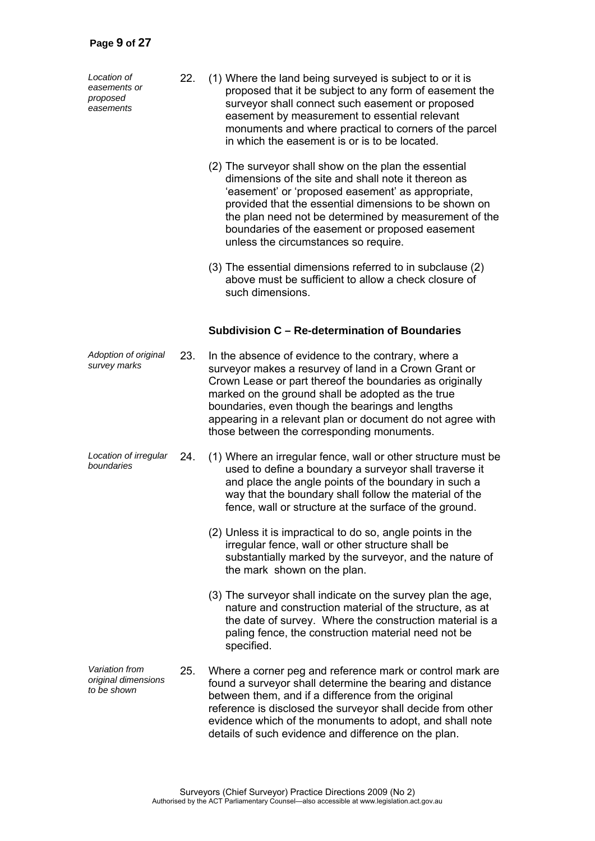*Location of easements or proposed easements* 

- 22. (1) Where the land being surveyed is subject to or it is proposed that it be subject to any form of easement the surveyor shall connect such easement or proposed easement by measurement to essential relevant monuments and where practical to corners of the parcel in which the easement is or is to be located.
	- (2) The surveyor shall show on the plan the essential dimensions of the site and shall note it thereon as 'easement' or 'proposed easement' as appropriate, provided that the essential dimensions to be shown on the plan need not be determined by measurement of the boundaries of the easement or proposed easement unless the circumstances so require.
	- (3) The essential dimensions referred to in subclause (2) above must be sufficient to allow a check closure of such dimensions.

#### **Subdivision C – Re-determination of Boundaries**

- *Adoption of original*  23. In the absence of evidence to the contrary, where a surveyor makes a resurvey of land in a Crown Grant or Crown Lease or part thereof the boundaries as originally marked on the ground shall be adopted as the true boundaries, even though the bearings and lengths appearing in a relevant plan or document do not agree with those between the corresponding monuments.
- *Location of irregular boundaries* 24. (1) Where an irregular fence, wall or other structure must be used to define a boundary a surveyor shall traverse it and place the angle points of the boundary in such a way that the boundary shall follow the material of the fence, wall or structure at the surface of the ground.
	- (2) Unless it is impractical to do so, angle points in the irregular fence, wall or other structure shall be substantially marked by the surveyor, and the nature of the mark shown on the plan.
	- (3) The surveyor shall indicate on the survey plan the age, nature and construction material of the structure, as at the date of survey. Where the construction material is a paling fence, the construction material need not be specified.
- *Variation from original dimensions to be shown*  25. Where a corner peg and reference mark or control mark are found a surveyor shall determine the bearing and distance between them, and if a difference from the original reference is disclosed the surveyor shall decide from other evidence which of the monuments to adopt, and shall note details of such evidence and difference on the plan.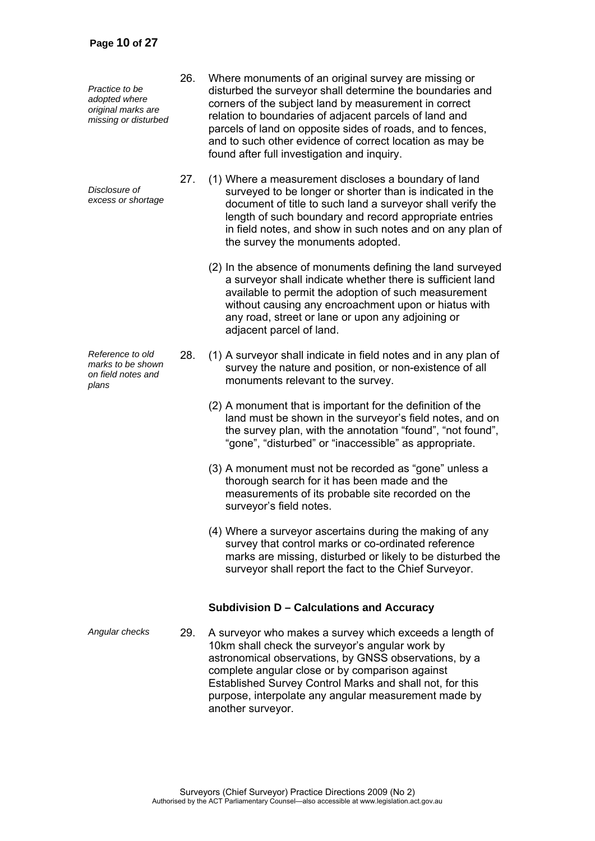*Practice to be adopted where original marks are missing or disturbed* 

*Disclosure of excess or shortage*

*Reference to old marks to be shown on field notes and plans* 

- 26. Where monuments of an original survey are missing or disturbed the surveyor shall determine the boundaries and corners of the subject land by measurement in correct relation to boundaries of adjacent parcels of land and parcels of land on opposite sides of roads, and to fences, and to such other evidence of correct location as may be found after full investigation and inquiry.
- 27. (1) Where a measurement discloses a boundary of land surveyed to be longer or shorter than is indicated in the document of title to such land a surveyor shall verify the length of such boundary and record appropriate entries in field notes, and show in such notes and on any plan of the survey the monuments adopted.
	- (2) In the absence of monuments defining the land surveyed a surveyor shall indicate whether there is sufficient land available to permit the adoption of such measurement without causing any encroachment upon or hiatus with any road, street or lane or upon any adjoining or adjacent parcel of land.
- 28. (1) A surveyor shall indicate in field notes and in any plan of survey the nature and position, or non-existence of all monuments relevant to the survey.
	- (2) A monument that is important for the definition of the land must be shown in the surveyor's field notes, and on the survey plan, with the annotation "found", "not found", "gone", "disturbed" or "inaccessible" as appropriate.
	- (3) A monument must not be recorded as "gone" unless a thorough search for it has been made and the measurements of its probable site recorded on the surveyor's field notes.
	- (4) Where a surveyor ascertains during the making of any survey that control marks or co-ordinated reference marks are missing, disturbed or likely to be disturbed the surveyor shall report the fact to the Chief Surveyor.

### **Subdivision D – Calculations and Accuracy**

*Angular checks* 29. A surveyor who makes a survey which exceeds a length of 10km shall check the surveyor's angular work by astronomical observations, by GNSS observations, by a complete angular close or by comparison against Established Survey Control Marks and shall not, for this purpose, interpolate any angular measurement made by another surveyor.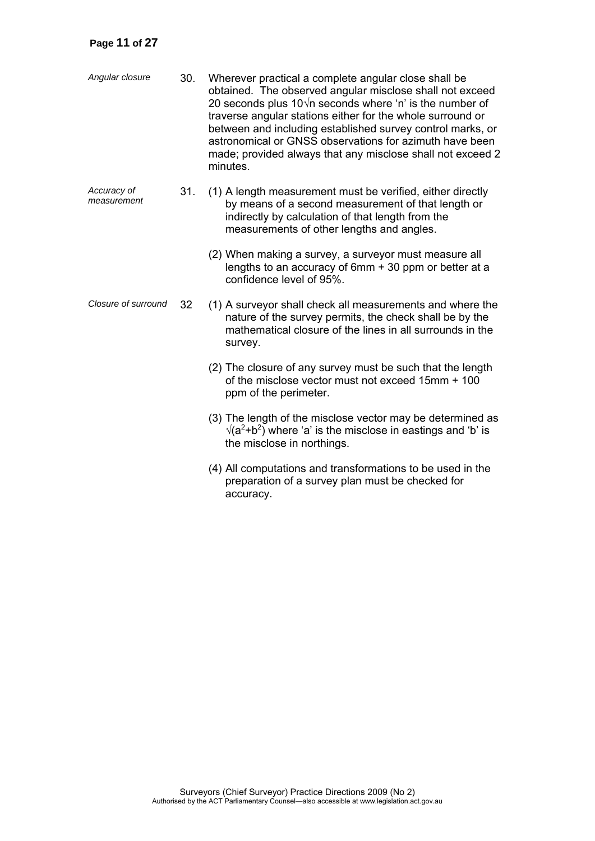# **Page 11 of 27**

| Angular closure            | 30. | Wherever practical a complete angular close shall be<br>obtained. The observed angular misclose shall not exceed<br>20 seconds plus $10\sqrt{n}$ seconds where 'n' is the number of<br>traverse angular stations either for the whole surround or<br>between and including established survey control marks, or<br>astronomical or GNSS observations for azimuth have been<br>made; provided always that any misclose shall not exceed 2<br>minutes. |
|----------------------------|-----|------------------------------------------------------------------------------------------------------------------------------------------------------------------------------------------------------------------------------------------------------------------------------------------------------------------------------------------------------------------------------------------------------------------------------------------------------|
| Accuracy of<br>measurement | 31. | (1) A length measurement must be verified, either directly<br>by means of a second measurement of that length or<br>indirectly by calculation of that length from the<br>measurements of other lengths and angles.                                                                                                                                                                                                                                   |
|                            |     | (2) When making a survey, a surveyor must measure all<br>lengths to an accuracy of 6mm + 30 ppm or better at a<br>confidence level of 95%.                                                                                                                                                                                                                                                                                                           |
| Closure of surround        | 32  | (1) A surveyor shall check all measurements and where the<br>nature of the survey permits, the check shall be by the<br>mathematical closure of the lines in all surrounds in the<br>survey.                                                                                                                                                                                                                                                         |
|                            |     | (2) The closure of any survey must be such that the length<br>of the misclose vector must not exceed 15mm + 100<br>ppm of the perimeter.                                                                                                                                                                                                                                                                                                             |
|                            |     | (3) The length of the misclose vector may be determined as<br>$\sqrt{(a^2+b^2)}$ where 'a' is the misclose in eastings and 'b' is<br>the misclose in northings.                                                                                                                                                                                                                                                                                      |
|                            |     | (4) All computations and transformations to be used in the<br>preparation of a survey plan must be checked for<br>accuracy.                                                                                                                                                                                                                                                                                                                          |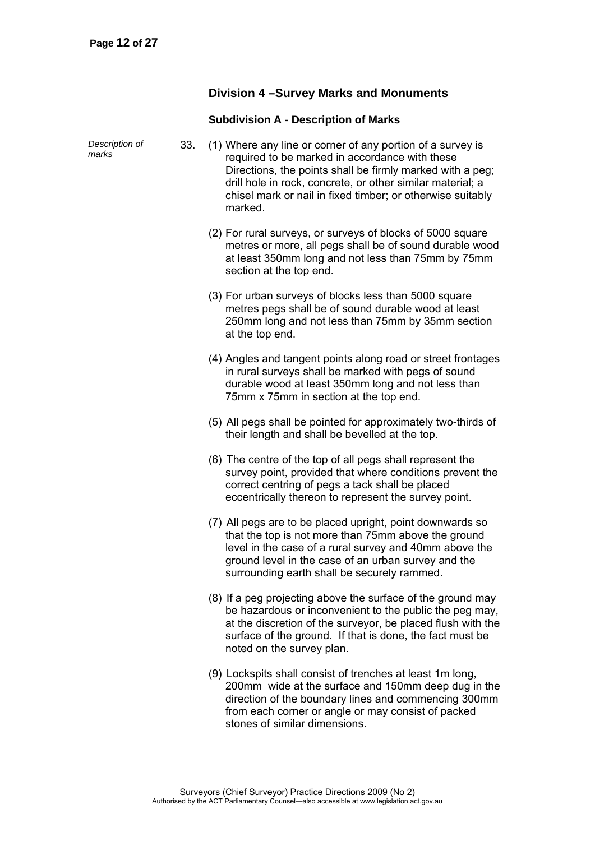## **Division 4 –Survey Marks and Monuments**

# **Subdivision A - Description of Marks**

| Description of<br>marks | 33. | (1) Where any line or corner of any portion of a survey is<br>required to be marked in accordance with these<br>Directions, the points shall be firmly marked with a peg;<br>drill hole in rock, concrete, or other similar material; a<br>chisel mark or nail in fixed timber; or otherwise suitably<br>marked. |
|-------------------------|-----|------------------------------------------------------------------------------------------------------------------------------------------------------------------------------------------------------------------------------------------------------------------------------------------------------------------|
|                         |     | (2) For rural surveys, or surveys of blocks of 5000 square<br>metres or more, all pegs shall be of sound durable wood<br>at least 350mm long and not less than 75mm by 75mm<br>section at the top end.                                                                                                           |
|                         |     | (3) For urban surveys of blocks less than 5000 square<br>metres pegs shall be of sound durable wood at least<br>250mm long and not less than 75mm by 35mm section<br>at the top end.                                                                                                                             |
|                         |     | (4) Angles and tangent points along road or street frontages<br>in rural surveys shall be marked with pegs of sound<br>durable wood at least 350mm long and not less than<br>75mm x 75mm in section at the top end.                                                                                              |
|                         |     | (5) All pegs shall be pointed for approximately two-thirds of<br>their length and shall be bevelled at the top.                                                                                                                                                                                                  |
|                         |     | (6) The centre of the top of all pegs shall represent the<br>survey point, provided that where conditions prevent the<br>correct centring of pegs a tack shall be placed<br>eccentrically thereon to represent the survey point.                                                                                 |
|                         |     | (7) All pegs are to be placed upright, point downwards so<br>that the top is not more than 75mm above the ground<br>level in the case of a rural survey and 40mm above the<br>ground level in the case of an urban survey and the<br>surrounding earth shall be securely rammed.                                 |
|                         |     | (8) If a peg projecting above the surface of the ground may<br>be hazardous or inconvenient to the public the peg may,<br>at the discretion of the surveyor, be placed flush with the<br>surface of the ground. If that is done, the fact must be<br>noted on the survey plan.                                   |
|                         |     | (9) Lockspits shall consist of trenches at least 1m long,<br>200mm wide at the surface and 150mm deep dug in the<br>direction of the boundary lines and commencing 300mm<br>from each corner or angle or may consist of packed                                                                                   |

stones of similar dimensions.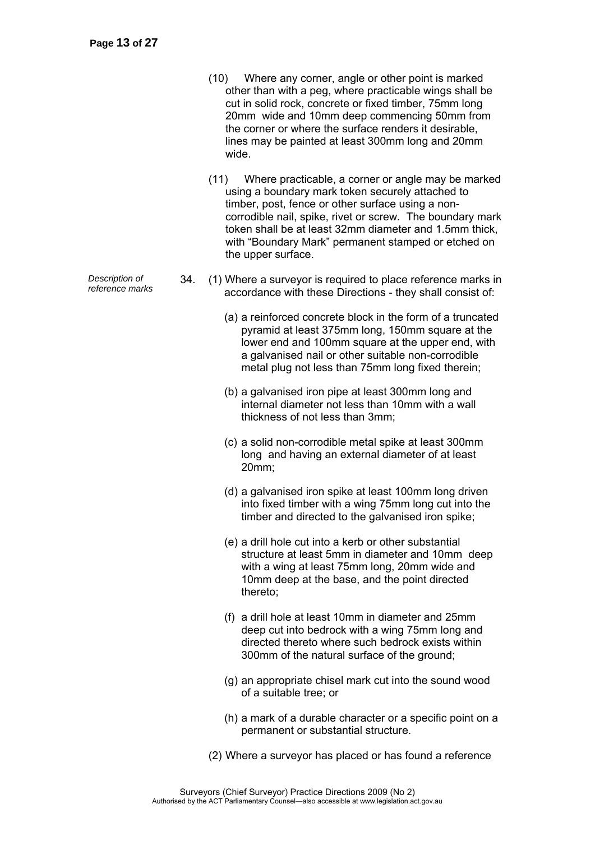- (10) Where any corner, angle or other point is marked other than with a peg, where practicable wings shall be cut in solid rock, concrete or fixed timber, 75mm long 20mm wide and 10mm deep commencing 50mm from the corner or where the surface renders it desirable, lines may be painted at least 300mm long and 20mm wide.
- (11) Where practicable, a corner or angle may be marked using a boundary mark token securely attached to timber, post, fence or other surface using a noncorrodible nail, spike, rivet or screw. The boundary mark token shall be at least 32mm diameter and 1.5mm thick, with "Boundary Mark" permanent stamped or etched on the upper surface.
- *reference marks* 34. (1) Where a surveyor is required to place reference marks in accordance with these Directions - they shall consist of:
	- (a) a reinforced concrete block in the form of a truncated pyramid at least 375mm long, 150mm square at the lower end and 100mm square at the upper end, with a galvanised nail or other suitable non-corrodible metal plug not less than 75mm long fixed therein;
	- (b) a galvanised iron pipe at least 300mm long and internal diameter not less than 10mm with a wall thickness of not less than 3mm;
	- (c) a solid non-corrodible metal spike at least 300mm long and having an external diameter of at least 20mm;
	- (d) a galvanised iron spike at least 100mm long driven into fixed timber with a wing 75mm long cut into the timber and directed to the galvanised iron spike;
	- (e) a drill hole cut into a kerb or other substantial structure at least 5mm in diameter and 10mm deep with a wing at least 75mm long, 20mm wide and 10mm deep at the base, and the point directed thereto;
	- (f) a drill hole at least 10mm in diameter and 25mm deep cut into bedrock with a wing 75mm long and directed thereto where such bedrock exists within 300mm of the natural surface of the ground;
	- (g) an appropriate chisel mark cut into the sound wood of a suitable tree; or
	- (h) a mark of a durable character or a specific point on a permanent or substantial structure.
	- (2) Where a surveyor has placed or has found a reference

*Description of*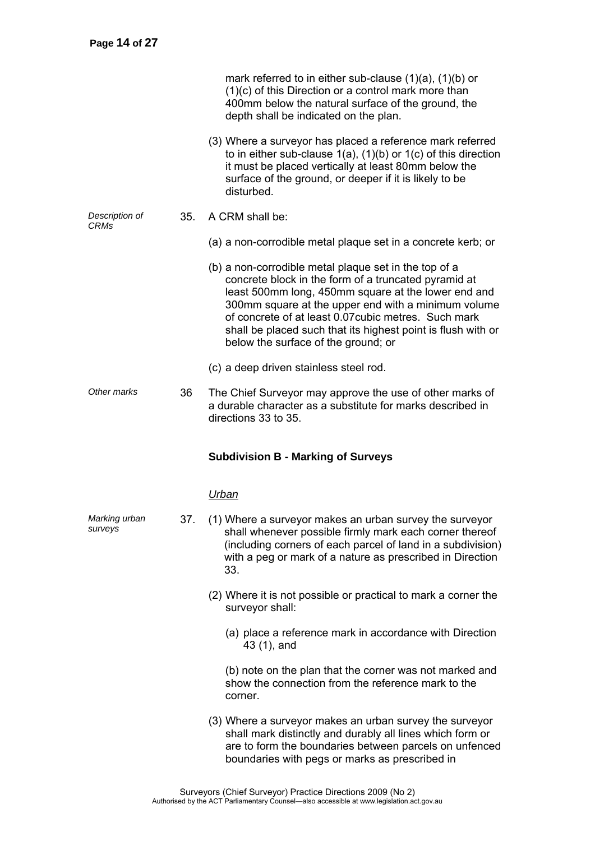|                               |     | mark referred to in either sub-clause $(1)(a)$ , $(1)(b)$ or<br>(1)(c) of this Direction or a control mark more than<br>400mm below the natural surface of the ground, the<br>depth shall be indicated on the plan.                                                                                                                                                                        |
|-------------------------------|-----|--------------------------------------------------------------------------------------------------------------------------------------------------------------------------------------------------------------------------------------------------------------------------------------------------------------------------------------------------------------------------------------------|
|                               |     | (3) Where a surveyor has placed a reference mark referred<br>to in either sub-clause $1(a)$ , $(1)(b)$ or $1(c)$ of this direction<br>it must be placed vertically at least 80mm below the<br>surface of the ground, or deeper if it is likely to be<br>disturbed.                                                                                                                         |
| Description of<br><b>CRMs</b> | 35. | A CRM shall be:                                                                                                                                                                                                                                                                                                                                                                            |
|                               |     | (a) a non-corrodible metal plaque set in a concrete kerb; or                                                                                                                                                                                                                                                                                                                               |
|                               |     | (b) a non-corrodible metal plaque set in the top of a<br>concrete block in the form of a truncated pyramid at<br>least 500mm long, 450mm square at the lower end and<br>300mm square at the upper end with a minimum volume<br>of concrete of at least 0.07 cubic metres. Such mark<br>shall be placed such that its highest point is flush with or<br>below the surface of the ground; or |
|                               |     | (c) a deep driven stainless steel rod.                                                                                                                                                                                                                                                                                                                                                     |
| Other marks                   | 36  | The Chief Surveyor may approve the use of other marks of<br>a durable character as a substitute for marks described in<br>directions 33 to 35.                                                                                                                                                                                                                                             |
|                               |     |                                                                                                                                                                                                                                                                                                                                                                                            |
|                               |     | <b>Subdivision B - Marking of Surveys</b>                                                                                                                                                                                                                                                                                                                                                  |
|                               |     | <u>Urban</u>                                                                                                                                                                                                                                                                                                                                                                               |
| Marking urban<br>surveys      | 37. | (1) Where a surveyor makes an urban survey the surveyor<br>shall whenever possible firmly mark each corner thereof<br>(including corners of each parcel of land in a subdivision)<br>with a peg or mark of a nature as prescribed in Direction<br>33.                                                                                                                                      |
|                               |     | (2) Where it is not possible or practical to mark a corner the<br>surveyor shall:                                                                                                                                                                                                                                                                                                          |
|                               |     | (a) place a reference mark in accordance with Direction<br>43 (1), and                                                                                                                                                                                                                                                                                                                     |
|                               |     | (b) note on the plan that the corner was not marked and<br>show the connection from the reference mark to the<br>corner.                                                                                                                                                                                                                                                                   |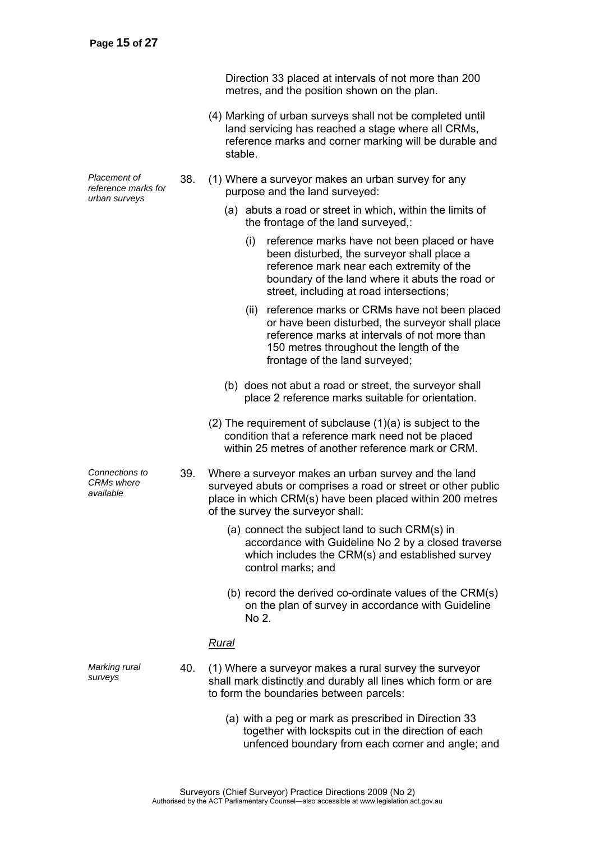Direction 33 placed at intervals of not more than 200 metres, and the position shown on the plan.

- (4) Marking of urban surveys shall not be completed until land servicing has reached a stage where all CRMs, reference marks and corner marking will be durable and stable.
- 38. (1) Where a surveyor makes an urban survey for any purpose and the land surveyed:
	- (a) abuts a road or street in which, within the limits of the frontage of the land surveyed,:
		- (i) reference marks have not been placed or have been disturbed, the surveyor shall place a reference mark near each extremity of the boundary of the land where it abuts the road or street, including at road intersections;
		- (ii) reference marks or CRMs have not been placed or have been disturbed, the surveyor shall place reference marks at intervals of not more than 150 metres throughout the length of the frontage of the land surveyed;
	- (b) does not abut a road or street, the surveyor shall place 2 reference marks suitable for orientation.
	- (2) The requirement of subclause (1)(a) is subject to the condition that a reference mark need not be placed within 25 metres of another reference mark or CRM.
- 39. Where a surveyor makes an urban survey and the land surveyed abuts or comprises a road or street or other public place in which CRM(s) have been placed within 200 metres of the survey the surveyor shall:
	- (a) connect the subject land to such CRM(s) in accordance with Guideline No 2 by a closed traverse which includes the CRM(s) and established survey control marks; and
	- (b) record the derived co-ordinate values of the CRM(s) on the plan of survey in accordance with Guideline No 2.

### *Rural*

*Marking rural surveys* 

- 40. (1) Where a surveyor makes a rural survey the surveyor shall mark distinctly and durably all lines which form or are to form the boundaries between parcels:
	- (a) with a peg or mark as prescribed in Direction 33 together with lockspits cut in the direction of each unfenced boundary from each corner and angle; and

*Placement of reference marks for urban surveys* 

*Connections to CRMs where available*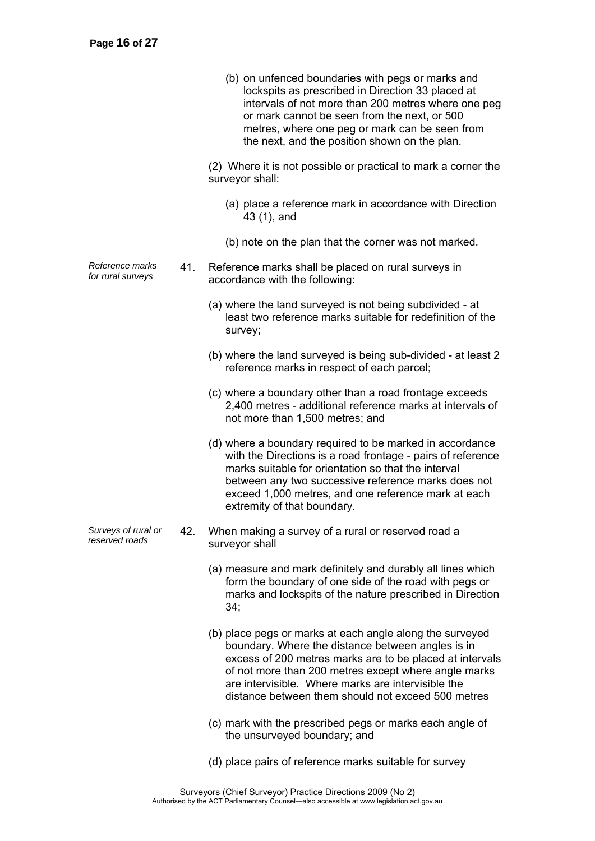|                                       |     | (b) on unfenced boundaries with pegs or marks and<br>lockspits as prescribed in Direction 33 placed at<br>intervals of not more than 200 metres where one peg<br>or mark cannot be seen from the next, or 500<br>metres, where one peg or mark can be seen from<br>the next, and the position shown on the plan.                              |
|---------------------------------------|-----|-----------------------------------------------------------------------------------------------------------------------------------------------------------------------------------------------------------------------------------------------------------------------------------------------------------------------------------------------|
|                                       |     | (2) Where it is not possible or practical to mark a corner the<br>surveyor shall:                                                                                                                                                                                                                                                             |
|                                       |     | (a) place a reference mark in accordance with Direction<br>43 (1), and                                                                                                                                                                                                                                                                        |
|                                       |     | (b) note on the plan that the corner was not marked.                                                                                                                                                                                                                                                                                          |
| Reference marks<br>for rural surveys  | 41. | Reference marks shall be placed on rural surveys in<br>accordance with the following:                                                                                                                                                                                                                                                         |
|                                       |     | (a) where the land surveyed is not being subdivided - at<br>least two reference marks suitable for redefinition of the<br>survey;                                                                                                                                                                                                             |
|                                       |     | (b) where the land surveyed is being sub-divided - at least 2<br>reference marks in respect of each parcel;                                                                                                                                                                                                                                   |
|                                       |     | (c) where a boundary other than a road frontage exceeds<br>2,400 metres - additional reference marks at intervals of<br>not more than 1,500 metres; and                                                                                                                                                                                       |
|                                       |     | (d) where a boundary required to be marked in accordance<br>with the Directions is a road frontage - pairs of reference<br>marks suitable for orientation so that the interval<br>between any two successive reference marks does not<br>exceed 1,000 metres, and one reference mark at each<br>extremity of that boundary.                   |
| Surveys of rural or<br>reserved roads | 42. | When making a survey of a rural or reserved road a<br>surveyor shall                                                                                                                                                                                                                                                                          |
|                                       |     | (a) measure and mark definitely and durably all lines which<br>form the boundary of one side of the road with pegs or<br>marks and lockspits of the nature prescribed in Direction<br>34;                                                                                                                                                     |
|                                       |     | (b) place pegs or marks at each angle along the surveyed<br>boundary. Where the distance between angles is in<br>excess of 200 metres marks are to be placed at intervals<br>of not more than 200 metres except where angle marks<br>are intervisible. Where marks are intervisible the<br>distance between them should not exceed 500 metres |
|                                       |     | (c) mark with the prescribed pegs or marks each angle of<br>the unsurveyed boundary; and                                                                                                                                                                                                                                                      |
|                                       |     | (d) place pairs of reference marks suitable for survey                                                                                                                                                                                                                                                                                        |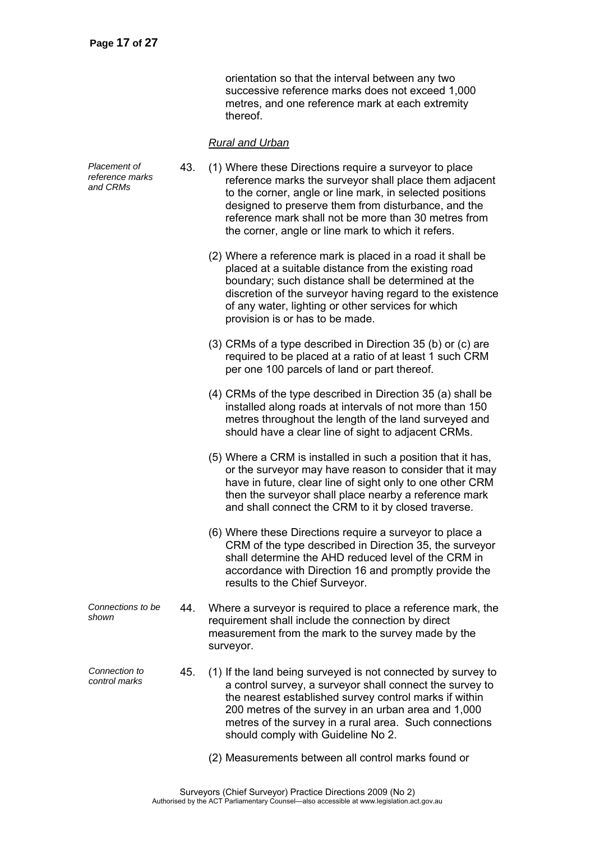orientation so that the interval between any two successive reference marks does not exceed 1,000 metres, and one reference mark at each extremity thereof.

# *Rural and Urban*

| Placement of<br>reference marks<br>and CRMs | 43. | (1) Where these Directions require a surveyor to place<br>reference marks the surveyor shall place them adjacent<br>to the corner, angle or line mark, in selected positions<br>designed to preserve them from disturbance, and the<br>reference mark shall not be more than 30 metres from<br>the corner, angle or line mark to which it refers. |
|---------------------------------------------|-----|---------------------------------------------------------------------------------------------------------------------------------------------------------------------------------------------------------------------------------------------------------------------------------------------------------------------------------------------------|
|                                             |     | (2) Where a reference mark is placed in a road it shall be<br>placed at a suitable distance from the existing road<br>boundary; such distance shall be determined at the<br>discretion of the surveyor having regard to the existence<br>of any water, lighting or other services for which<br>provision is or has to be made.                    |
|                                             |     | (3) CRMs of a type described in Direction 35 (b) or (c) are<br>required to be placed at a ratio of at least 1 such CRM<br>per one 100 parcels of land or part thereof.                                                                                                                                                                            |
|                                             |     | (4) CRMs of the type described in Direction 35 (a) shall be<br>installed along roads at intervals of not more than 150<br>metres throughout the length of the land surveyed and<br>should have a clear line of sight to adjacent CRMs.                                                                                                            |
|                                             |     | (5) Where a CRM is installed in such a position that it has,<br>or the surveyor may have reason to consider that it may<br>have in future, clear line of sight only to one other CRM<br>then the surveyor shall place nearby a reference mark<br>and shall connect the CRM to it by closed traverse.                                              |
|                                             |     | (6) Where these Directions require a surveyor to place a<br>CRM of the type described in Direction 35, the surveyor<br>shall determine the AHD reduced level of the CRM in<br>accordance with Direction 16 and promptly provide the<br>results to the Chief Surveyor.                                                                             |
| Connections to be<br>shown                  | 44. | Where a surveyor is required to place a reference mark, the<br>requirement shall include the connection by direct<br>measurement from the mark to the survey made by the<br>surveyor.                                                                                                                                                             |
| Connection to<br>control marks              | 45. | (1) If the land being surveyed is not connected by survey to<br>a control survey, a surveyor shall connect the survey to<br>the nearest established survey control marks if within<br>200 metres of the survey in an urban area and 1,000<br>metres of the survey in a rural area. Such connections<br>should comply with Guideline No 2.         |
|                                             |     | (2) Measurements between all control marks found or                                                                                                                                                                                                                                                                                               |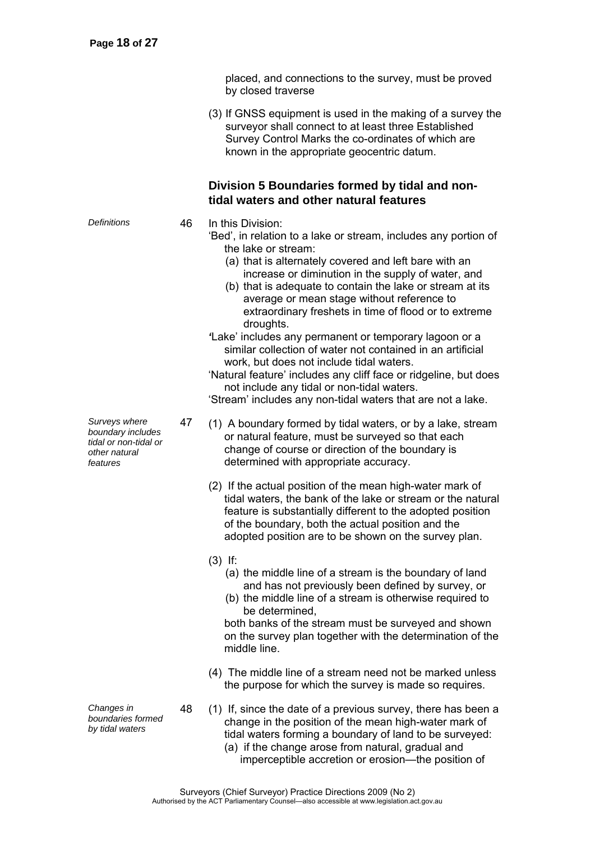placed, and connections to the survey, must be proved by closed traverse

 (3) If GNSS equipment is used in the making of a survey the surveyor shall connect to at least three Established Survey Control Marks the co-ordinates of which are known in the appropriate geocentric datum.

# **Division 5 Boundaries formed by tidal and nontidal waters and other natural features**

- *Definitions* 46 In this Division:
	- 'Bed', in relation to a lake or stream, includes any portion of the lake or stream:
		- (a) that is alternately covered and left bare with an increase or diminution in the supply of water, and
		- (b) that is adequate to contain the lake or stream at its average or mean stage without reference to extraordinary freshets in time of flood or to extreme droughts.
	- *'*Lake' includes any permanent or temporary lagoon or a similar collection of water not contained in an artificial work, but does not include tidal waters.
	- 'Natural feature' includes any cliff face or ridgeline, but does not include any tidal or non-tidal waters.

'Stream' includes any non-tidal waters that are not a lake.

- 47 (1) A boundary formed by tidal waters, or by a lake, stream or natural feature, must be surveyed so that each change of course or direction of the boundary is determined with appropriate accuracy.
	- (2) If the actual position of the mean high-water mark of tidal waters, the bank of the lake or stream or the natural feature is substantially different to the adopted position of the boundary, both the actual position and the adopted position are to be shown on the survey plan.
	- (3) If:
		- (a) the middle line of a stream is the boundary of land and has not previously been defined by survey, or
		- (b) the middle line of a stream is otherwise required to be determined,

both banks of the stream must be surveyed and shown on the survey plan together with the determination of the middle line.

- (4) The middle line of a stream need not be marked unless the purpose for which the survey is made so requires.
- 48 (1) If, since the date of a previous survey, there has been a change in the position of the mean high-water mark of tidal waters forming a boundary of land to be surveyed:
	- (a) if the change arose from natural, gradual and imperceptible accretion or erosion—the position of

*Surveys where boundary includes tidal or non-tidal or other natural features* 

*Changes in boundaries formed by tidal waters* 

> Surveyors (Chief Surveyor) Practice Directions 2009 (No 2) Authorised by the ACT Parliamentary Counsel—also accessible at www.legislation.act.gov.au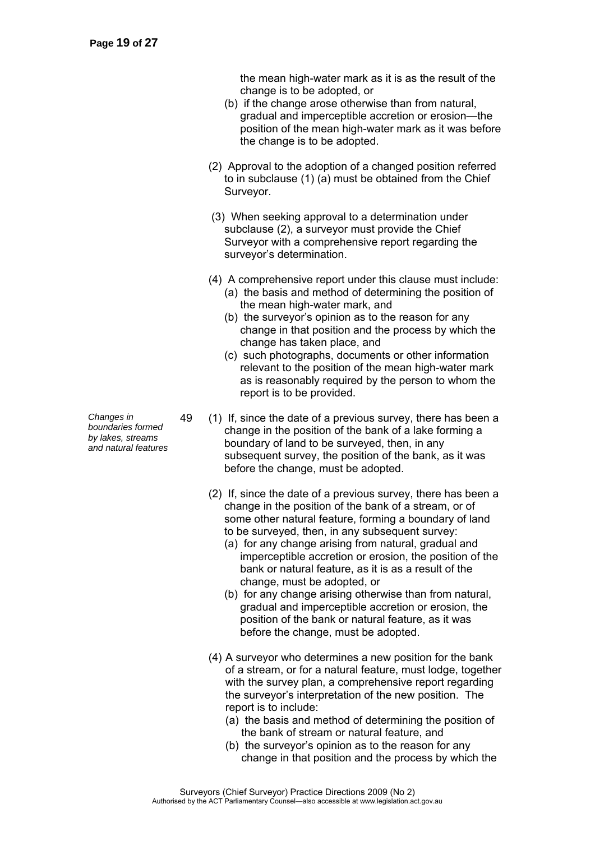the mean high-water mark as it is as the result of the change is to be adopted, or

- (b) if the change arose otherwise than from natural, gradual and imperceptible accretion or erosion—the position of the mean high-water mark as it was before the change is to be adopted.
- (2) Approval to the adoption of a changed position referred to in subclause (1) (a) must be obtained from the Chief Surveyor.
- (3) When seeking approval to a determination under subclause (2), a surveyor must provide the Chief Surveyor with a comprehensive report regarding the surveyor's determination.
- (4) A comprehensive report under this clause must include: (a) the basis and method of determining the position of the mean high-water mark, and
	- (b) the surveyor's opinion as to the reason for any change in that position and the process by which the change has taken place, and
	- (c) such photographs, documents or other information relevant to the position of the mean high-water mark as is reasonably required by the person to whom the report is to be provided.
- 49 (1) If, since the date of a previous survey, there has been a change in the position of the bank of a lake forming a boundary of land to be surveyed, then, in any subsequent survey, the position of the bank, as it was before the change, must be adopted.
	- (2) If, since the date of a previous survey, there has been a change in the position of the bank of a stream, or of some other natural feature, forming a boundary of land to be surveyed, then, in any subsequent survey:
		- (a) for any change arising from natural, gradual and imperceptible accretion or erosion, the position of the bank or natural feature, as it is as a result of the change, must be adopted, or
		- (b) for any change arising otherwise than from natural, gradual and imperceptible accretion or erosion, the position of the bank or natural feature, as it was before the change, must be adopted.
	- (4) A surveyor who determines a new position for the bank of a stream, or for a natural feature, must lodge, together with the survey plan, a comprehensive report regarding the surveyor's interpretation of the new position. The report is to include:
		- (a) the basis and method of determining the position of the bank of stream or natural feature, and
		- (b) the surveyor's opinion as to the reason for any change in that position and the process by which the

*Changes in boundaries formed* 

*by lakes, streams and natural features*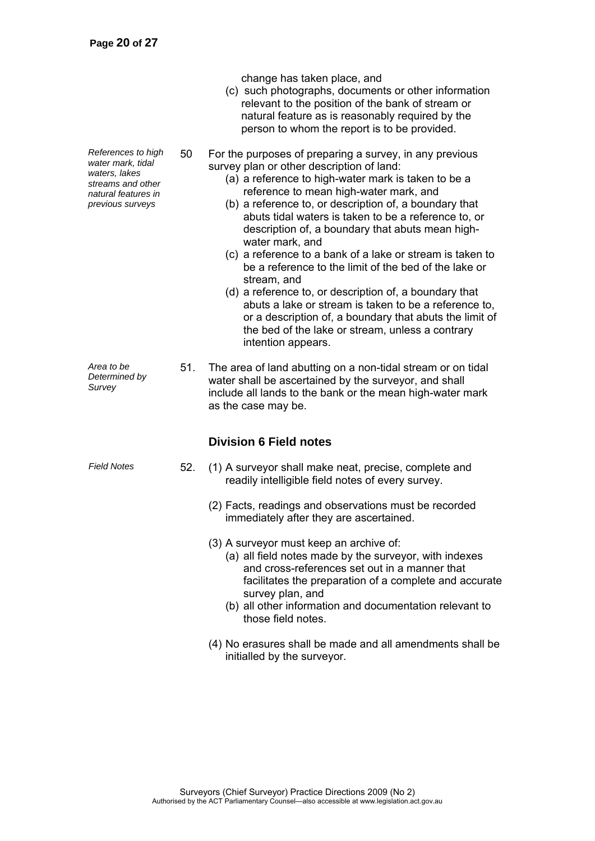(c) such photographs, documents or other information relevant to the position of the bank of stream or natural feature as is reasonably required by the person to whom the report is to be provided. *References to high water mark, tidal waters, lakes streams and other natural features in previous surveys*  50 For the purposes of preparing a survey, in any previous survey plan or other description of land: (a) a reference to high-water mark is taken to be a reference to mean high-water mark, and (b) a reference to, or description of, a boundary that abuts tidal waters is taken to be a reference to, or description of, a boundary that abuts mean highwater mark, and (c) a reference to a bank of a lake or stream is taken to be a reference to the limit of the bed of the lake or stream, and (d) a reference to, or description of, a boundary that abuts a lake or stream is taken to be a reference to, or a description of, a boundary that abuts the limit of the bed of the lake or stream, unless a contrary intention appears. *Area to be Determined by Survey*  51. The area of land abutting on a non-tidal stream or on tidal water shall be ascertained by the surveyor, and shall include all lands to the bank or the mean high-water mark as the case may be. **Division 6 Field notes**  *Field Notes* 52. (1) A surveyor shall make neat, precise, complete and readily intelligible field notes of every survey. (2) Facts, readings and observations must be recorded immediately after they are ascertained. (3) A surveyor must keep an archive of: (a) all field notes made by the surveyor, with indexes and cross-references set out in a manner that facilitates the preparation of a complete and accurate survey plan, and (b) all other information and documentation relevant to

change has taken place, and

 (4) No erasures shall be made and all amendments shall be initialled by the surveyor.

those field notes.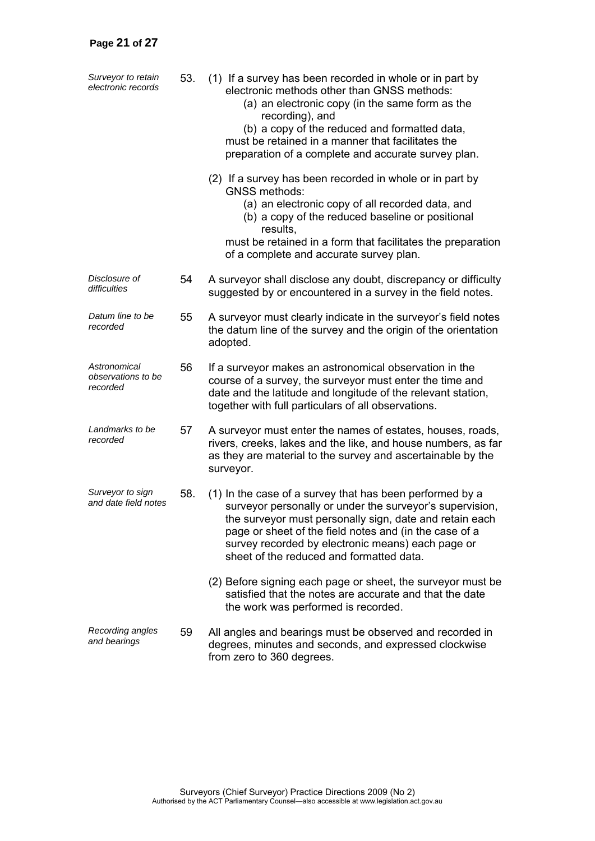| Surveyor to retain<br>electronic records       | 53. | (1) If a survey has been recorded in whole or in part by<br>electronic methods other than GNSS methods:<br>(a) an electronic copy (in the same form as the<br>recording), and<br>(b) a copy of the reduced and formatted data,<br>must be retained in a manner that facilitates the<br>preparation of a complete and accurate survey plan. |
|------------------------------------------------|-----|--------------------------------------------------------------------------------------------------------------------------------------------------------------------------------------------------------------------------------------------------------------------------------------------------------------------------------------------|
|                                                |     | (2) If a survey has been recorded in whole or in part by<br><b>GNSS methods:</b><br>(a) an electronic copy of all recorded data, and<br>(b) a copy of the reduced baseline or positional<br>results,<br>must be retained in a form that facilitates the preparation<br>of a complete and accurate survey plan.                             |
| Disclosure of<br>difficulties                  | 54  | A surveyor shall disclose any doubt, discrepancy or difficulty<br>suggested by or encountered in a survey in the field notes.                                                                                                                                                                                                              |
| Datum line to be<br>recorded                   | 55  | A surveyor must clearly indicate in the surveyor's field notes<br>the datum line of the survey and the origin of the orientation<br>adopted.                                                                                                                                                                                               |
| Astronomical<br>observations to be<br>recorded | 56  | If a surveyor makes an astronomical observation in the<br>course of a survey, the surveyor must enter the time and<br>date and the latitude and longitude of the relevant station,<br>together with full particulars of all observations.                                                                                                  |
| Landmarks to be<br>recorded                    | 57  | A surveyor must enter the names of estates, houses, roads,<br>rivers, creeks, lakes and the like, and house numbers, as far<br>as they are material to the survey and ascertainable by the<br>surveyor.                                                                                                                                    |
| Surveyor to sign<br>and date field notes       | 58. | (1) In the case of a survey that has been performed by a<br>surveyor personally or under the surveyor's supervision,<br>the surveyor must personally sign, date and retain each<br>page or sheet of the field notes and (in the case of a<br>survey recorded by electronic means) each page or<br>sheet of the reduced and formatted data. |
|                                                |     | (2) Before signing each page or sheet, the surveyor must be<br>satisfied that the notes are accurate and that the date<br>the work was performed is recorded.                                                                                                                                                                              |
| Recording angles<br>and bearings               | 59  | All angles and bearings must be observed and recorded in<br>degrees, minutes and seconds, and expressed clockwise<br>from zero to 360 degrees.                                                                                                                                                                                             |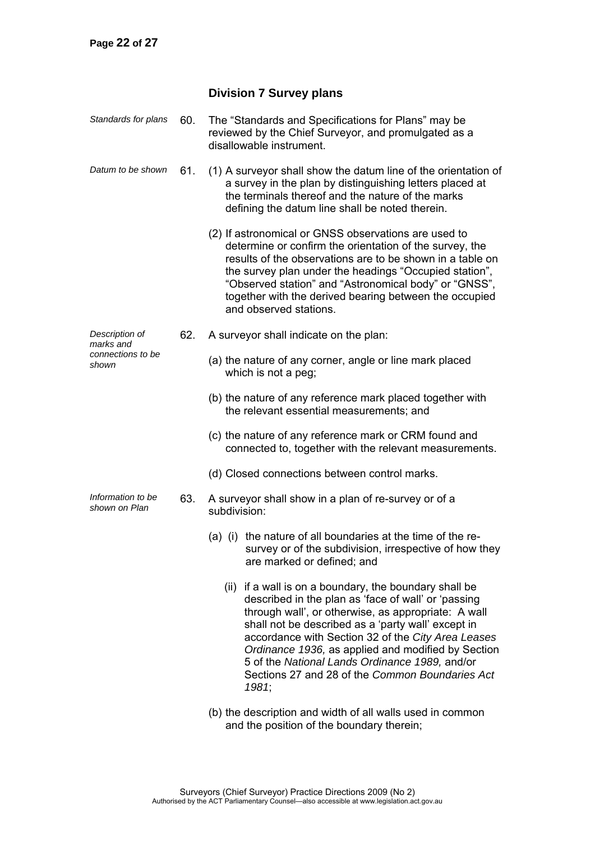# **Division 7 Survey plans**

| Standards for plans                                       | 60. | The "Standards and Specifications for Plans" may be<br>reviewed by the Chief Surveyor, and promulgated as a<br>disallowable instrument.                                                                                                                                                                                                                                                                                                              |  |  |  |  |  |
|-----------------------------------------------------------|-----|------------------------------------------------------------------------------------------------------------------------------------------------------------------------------------------------------------------------------------------------------------------------------------------------------------------------------------------------------------------------------------------------------------------------------------------------------|--|--|--|--|--|
| Datum to be shown                                         | 61. | (1) A surveyor shall show the datum line of the orientation of<br>a survey in the plan by distinguishing letters placed at<br>the terminals thereof and the nature of the marks<br>defining the datum line shall be noted therein.                                                                                                                                                                                                                   |  |  |  |  |  |
|                                                           |     | (2) If astronomical or GNSS observations are used to<br>determine or confirm the orientation of the survey, the<br>results of the observations are to be shown in a table on<br>the survey plan under the headings "Occupied station",<br>"Observed station" and "Astronomical body" or "GNSS",<br>together with the derived bearing between the occupied<br>and observed stations.                                                                  |  |  |  |  |  |
| Description of<br>marks and<br>connections to be<br>shown | 62. | A surveyor shall indicate on the plan:                                                                                                                                                                                                                                                                                                                                                                                                               |  |  |  |  |  |
|                                                           |     | (a) the nature of any corner, angle or line mark placed<br>which is not a peg;                                                                                                                                                                                                                                                                                                                                                                       |  |  |  |  |  |
|                                                           |     | (b) the nature of any reference mark placed together with<br>the relevant essential measurements; and                                                                                                                                                                                                                                                                                                                                                |  |  |  |  |  |
|                                                           |     | (c) the nature of any reference mark or CRM found and<br>connected to, together with the relevant measurements.                                                                                                                                                                                                                                                                                                                                      |  |  |  |  |  |
|                                                           |     | (d) Closed connections between control marks.                                                                                                                                                                                                                                                                                                                                                                                                        |  |  |  |  |  |
| Information to be<br>shown on Plan                        | 63. | A surveyor shall show in a plan of re-survey or of a<br>subdivision:                                                                                                                                                                                                                                                                                                                                                                                 |  |  |  |  |  |
|                                                           |     | (a) (i) the nature of all boundaries at the time of the re-<br>survey or of the subdivision, irrespective of how they<br>are marked or defined; and                                                                                                                                                                                                                                                                                                  |  |  |  |  |  |
|                                                           |     | (ii) if a wall is on a boundary, the boundary shall be<br>described in the plan as 'face of wall' or 'passing<br>through wall', or otherwise, as appropriate: A wall<br>shall not be described as a 'party wall' except in<br>accordance with Section 32 of the City Area Leases<br>Ordinance 1936, as applied and modified by Section<br>5 of the National Lands Ordinance 1989, and/or<br>Sections 27 and 28 of the Common Boundaries Act<br>1981; |  |  |  |  |  |
|                                                           |     |                                                                                                                                                                                                                                                                                                                                                                                                                                                      |  |  |  |  |  |

 (b) the description and width of all walls used in common and the position of the boundary therein;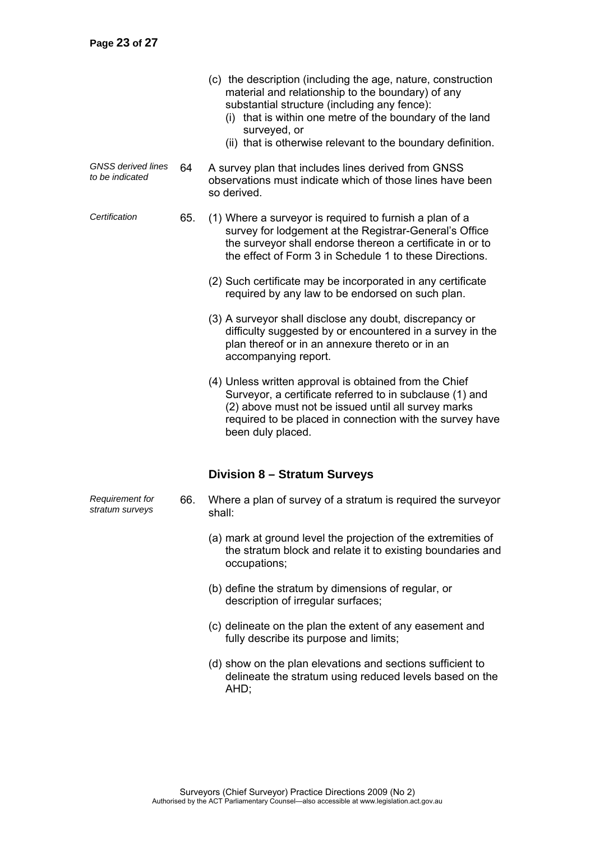|                                              |     | (c) the description (including the age, nature, construction<br>material and relationship to the boundary) of any<br>substantial structure (including any fence):<br>(i) that is within one metre of the boundary of the land<br>surveyed, or<br>(ii) that is otherwise relevant to the boundary definition. |  |  |  |  |  |
|----------------------------------------------|-----|--------------------------------------------------------------------------------------------------------------------------------------------------------------------------------------------------------------------------------------------------------------------------------------------------------------|--|--|--|--|--|
| <b>GNSS</b> derived lines<br>to be indicated | 64  | A survey plan that includes lines derived from GNSS<br>observations must indicate which of those lines have been<br>so derived.                                                                                                                                                                              |  |  |  |  |  |
| Certification                                | 65. | (1) Where a surveyor is required to furnish a plan of a<br>survey for lodgement at the Registrar-General's Office<br>the surveyor shall endorse thereon a certificate in or to<br>the effect of Form 3 in Schedule 1 to these Directions.                                                                    |  |  |  |  |  |
|                                              |     | (2) Such certificate may be incorporated in any certificate<br>required by any law to be endorsed on such plan.                                                                                                                                                                                              |  |  |  |  |  |
|                                              |     | (3) A surveyor shall disclose any doubt, discrepancy or<br>difficulty suggested by or encountered in a survey in the<br>plan thereof or in an annexure thereto or in an<br>accompanying report.                                                                                                              |  |  |  |  |  |
|                                              |     | (4) Unless written approval is obtained from the Chief<br>Surveyor, a certificate referred to in subclause (1) and<br>(2) above must not be issued until all survey marks<br>required to be placed in connection with the survey have<br>been duly placed.                                                   |  |  |  |  |  |
|                                              |     | Division 8 - Stratum Surveys                                                                                                                                                                                                                                                                                 |  |  |  |  |  |
| <b>Requirement for</b><br>stratum surveys    | 66. | Where a plan of survey of a stratum is required the surveyor<br>shall:                                                                                                                                                                                                                                       |  |  |  |  |  |
|                                              |     | (a) mark at ground level the projection of the extremities of<br>the stratum block and relate it to existing boundaries and<br>occupations;                                                                                                                                                                  |  |  |  |  |  |
|                                              |     | (b) define the stratum by dimensions of regular, or<br>description of irregular surfaces;                                                                                                                                                                                                                    |  |  |  |  |  |
|                                              |     | (c) delineate on the plan the extent of any easement and<br>fully describe its purpose and limits;                                                                                                                                                                                                           |  |  |  |  |  |
|                                              |     | (d) show on the plan elevations and sections sufficient to                                                                                                                                                                                                                                                   |  |  |  |  |  |

 (d) show on the plan elevations and sections sufficient to delineate the stratum using reduced levels based on the AHD;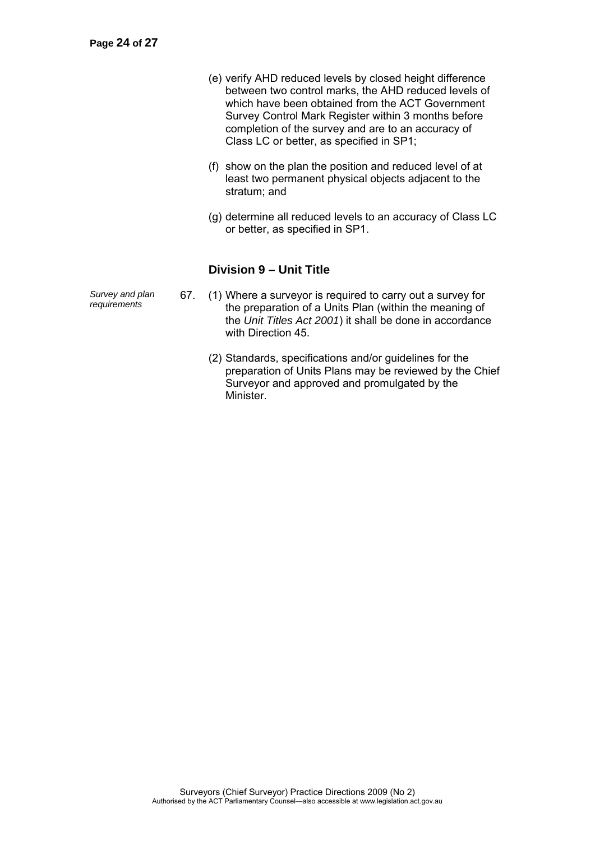- (e) verify AHD reduced levels by closed height difference between two control marks, the AHD reduced levels of which have been obtained from the ACT Government Survey Control Mark Register within 3 months before completion of the survey and are to an accuracy of Class LC or better, as specified in SP1;
- (f) show on the plan the position and reduced level of at least two permanent physical objects adjacent to the stratum; and
- (g) determine all reduced levels to an accuracy of Class LC or better, as specified in SP1.

# **Division 9 – Unit Title**

*Furvey and plan* 67. (1) Where a surveyor is required to carry out a survey for requirements **67.** (1) Where a survey for is required to carry out a survey for the preparation of a Units Plan (within the meaning of the *Unit Titles Act 2001*) it shall be done in accordance with Direction 45.

- (2) Standards, specifications and/or guidelines for the preparation of Units Plans may be reviewed by the Chief Surveyor and approved and promulgated by the Minister.
- *Survey and plan*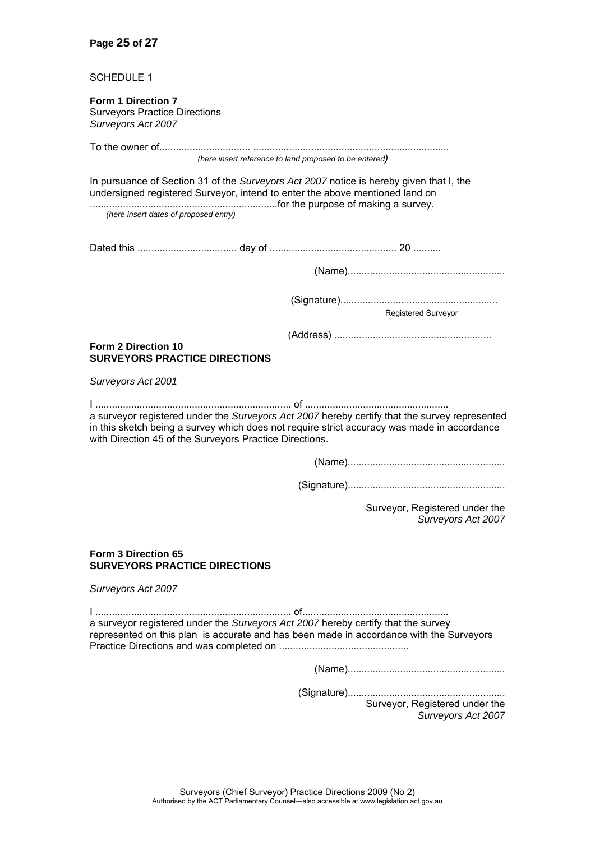SCHEDULE 1

#### **Form 1 Direction 7**  Surveyors Practice Directions *Surveyors Act 2007*

| (here insert reference to land proposed to be entered)                                                                                                                                                                                                  |
|---------------------------------------------------------------------------------------------------------------------------------------------------------------------------------------------------------------------------------------------------------|
| In pursuance of Section 31 of the Surveyors Act 2007 notice is hereby given that I, the<br>undersigned registered Surveyor, intend to enter the above mentioned land on<br>(here insert dates of proposed entry)                                        |
|                                                                                                                                                                                                                                                         |
|                                                                                                                                                                                                                                                         |
| Registered Surveyor                                                                                                                                                                                                                                     |
|                                                                                                                                                                                                                                                         |
| Form 2 Direction 10<br><b>SURVEYORS PRACTICE DIRECTIONS</b>                                                                                                                                                                                             |
| Surveyors Act 2001                                                                                                                                                                                                                                      |
| a surveyor registered under the Surveyors Act 2007 hereby certify that the survey represented<br>in this sketch being a survey which does not require strict accuracy was made in accordance<br>with Direction 45 of the Surveyors Practice Directions. |
|                                                                                                                                                                                                                                                         |
|                                                                                                                                                                                                                                                         |
| Surveyor, Registered under the<br>Surveyors Act 2007                                                                                                                                                                                                    |
| Form 3 Direction 65<br><b>SURVEYORS PRACTICE DIRECTIONS</b>                                                                                                                                                                                             |
| Surveyors Act 2007                                                                                                                                                                                                                                      |
| a surveyor registered under the Surveyors Act 2007 hereby certify that the survey<br>represented on this plan is accurate and has been made in accordance with the Surveyors                                                                            |
|                                                                                                                                                                                                                                                         |
| Surveyor, Registered under the                                                                                                                                                                                                                          |

*Surveyors Act 2007*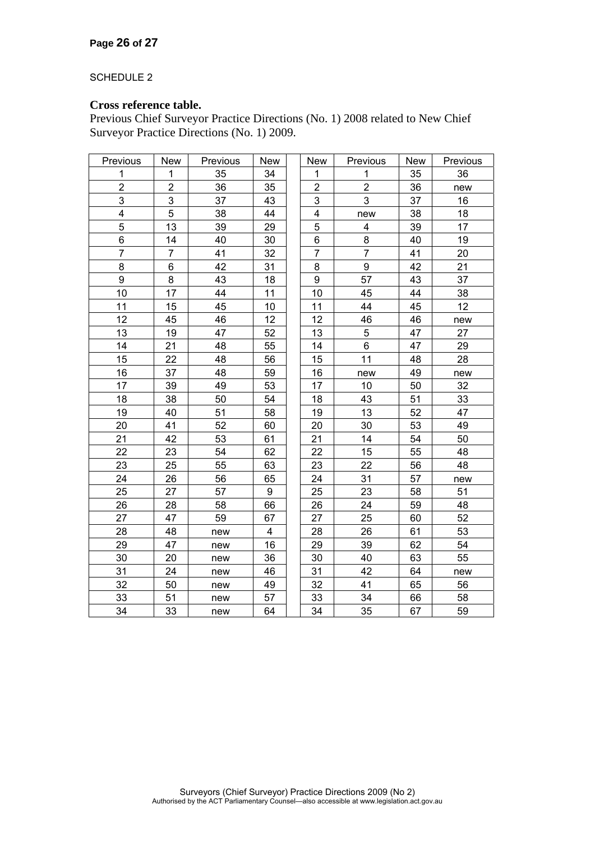#### SCHEDULE 2

# **Cross reference table.**

Previous Chief Surveyor Practice Directions (No. 1) 2008 related to New Chief Surveyor Practice Directions (No. 1) 2009.

| Previous                | <b>New</b>              | Previous | New                     | New                     | Previous                | New | Previous |
|-------------------------|-------------------------|----------|-------------------------|-------------------------|-------------------------|-----|----------|
| 1                       | 1                       | 35       | 34                      | 1                       | $\mathbf 1$             | 35  | 36       |
| $\overline{\mathbf{c}}$ | $\overline{\mathbf{c}}$ | 36       | 35                      | $\overline{\mathbf{c}}$ | $\overline{\mathbf{c}}$ | 36  | new      |
| 3                       | 3                       | 37       | 43                      | 3                       | 3                       | 37  | 16       |
| $\overline{\mathbf{4}}$ | 5                       | 38       | 44                      | 4                       | new                     | 38  | 18       |
| 5                       | 13                      | 39       | 29                      | 5                       | 4                       | 39  | 17       |
| 6                       | 14                      | 40       | 30                      | 6                       | 8                       | 40  | 19       |
| $\overline{7}$          | $\overline{7}$          | 41       | 32                      | $\overline{7}$          | $\overline{7}$          | 41  | 20       |
| 8                       | 6                       | 42       | 31                      | 8                       | 9                       | 42  | 21       |
| 9                       | 8                       | 43       | 18                      | 9                       | 57                      | 43  | 37       |
| 10                      | 17                      | 44       | 11                      | 10                      | 45                      | 44  | 38       |
| 11                      | 15                      | 45       | 10                      | 11                      | 44                      | 45  | 12       |
| 12                      | 45                      | 46       | 12                      | 12                      | 46                      | 46  | new      |
| 13                      | 19                      | 47       | 52                      | 13                      | 5                       | 47  | 27       |
| 14                      | 21                      | 48       | 55                      | 14                      | 6                       | 47  | 29       |
| 15                      | 22                      | 48       | 56                      | 15                      | 11                      | 48  | 28       |
| 16                      | 37                      | 48       | 59                      | 16                      | new                     | 49  | new      |
| 17                      | 39                      | 49       | 53                      | 17                      | 10                      | 50  | 32       |
| 18                      | 38                      | 50       | 54                      | 18                      | 43                      | 51  | 33       |
| 19                      | 40                      | 51       | 58                      | 19                      | 13                      | 52  | 47       |
| 20                      | 41                      | 52       | 60                      | 20                      | 30                      | 53  | 49       |
| 21                      | 42                      | 53       | 61                      | 21                      | 14                      | 54  | 50       |
| 22                      | 23                      | 54       | 62                      | 22                      | 15                      | 55  | 48       |
| 23                      | 25                      | 55       | 63                      | 23                      | 22                      | 56  | 48       |
| 24                      | 26                      | 56       | 65                      | 24                      | 31                      | 57  | new      |
| 25                      | 27                      | 57       | $\boldsymbol{9}$        | 25                      | 23                      | 58  | 51       |
| 26                      | 28                      | 58       | 66                      | 26                      | 24                      | 59  | 48       |
| 27                      | 47                      | 59       | 67                      | 27                      | 25                      | 60  | 52       |
| 28                      | 48                      | new      | $\overline{\mathbf{4}}$ | 28                      | 26                      | 61  | 53       |
| 29                      | 47                      | new      | 16                      | 29                      | 39                      | 62  | 54       |
| 30                      | 20                      | new      | 36                      | 30                      | 40                      | 63  | 55       |
| 31                      | 24                      | new      | 46                      | 31                      | 42                      | 64  | new      |
| 32                      | 50                      | new      | 49                      | 32                      | 41                      | 65  | 56       |
| 33                      | 51                      | new      | 57                      | 33                      | 34                      | 66  | 58       |
| 34                      | 33                      | new      | 64                      | 34                      | 35                      | 67  | 59       |